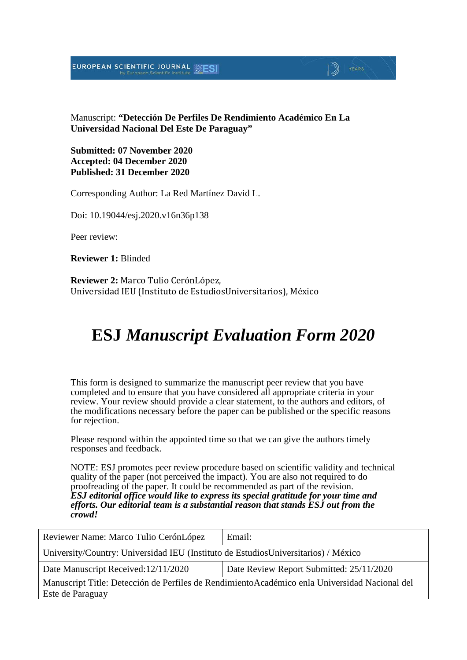EUROPEAN SCIENTIFIC JOURNAL MESI

Manuscript: **"Detección De Perfiles De Rendimiento Académico En La Universidad Nacional Del Este De Paraguay"**

 $\Box$  YEARS

**Submitted: 07 November 2020 Accepted: 04 December 2020 Published: 31 December 2020**

Corresponding Author: La Red Martínez David L.

Doi: 10.19044/esj.2020.v16n36p138

Peer review:

**Reviewer 1:** Blinded

**Reviewer 2:** Marco Tulio CerónLópez, Universidad IEU (Instituto de EstudiosUniversitarios), México

# **ESJ** *Manuscript Evaluation Form 2020*

This form is designed to summarize the manuscript peer review that you have completed and to ensure that you have considered all appropriate criteria in your review. Your review should provide a clear statement, to the authors and editors, of the modifications necessary before the paper can be published or the specific reasons for rejection.

Please respond within the appointed time so that we can give the authors timely responses and feedback.

NOTE: ESJ promotes peer review procedure based on scientific validity and technical quality of the paper (not perceived the impact). You are also not required to do proofreading of the paper. It could be recommended as part of the revision. *ESJ editorial office would like to express its special gratitude for your time and efforts. Our editorial team is a substantial reason that stands ESJ out from the crowd!* 

| Reviewer Name: Marco Tulio CerónLópez                                                                              | Email:                                   |  |
|--------------------------------------------------------------------------------------------------------------------|------------------------------------------|--|
| University/Country: Universidad IEU (Instituto de EstudiosUniversitarios) / México                                 |                                          |  |
| Date Manuscript Received: 12/11/2020                                                                               | Date Review Report Submitted: 25/11/2020 |  |
| Manuscript Title: Detección de Perfiles de Rendimiento Académico enla Universidad Nacional del<br>Este de Paraguay |                                          |  |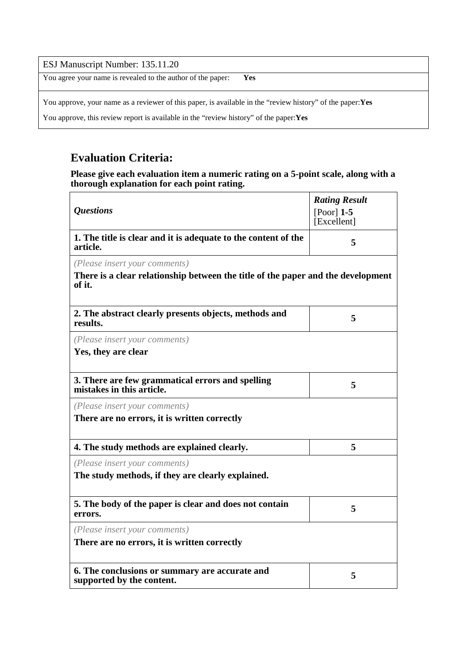#### ESJ Manuscript Number: 135.11.20

You agree your name is revealed to the author of the paper: **Yes**

You approve, your name as a reviewer of this paper, is available in the "review history" of the paper:**Yes**

You approve, this review report is available in the "review history" of the paper:**Yes**

### **Evaluation Criteria:**

**Please give each evaluation item a numeric rating on a 5-point scale, along with a thorough explanation for each point rating.**

|                                                                                            | <b>Rating Result</b> |
|--------------------------------------------------------------------------------------------|----------------------|
| <i><b>Questions</b></i>                                                                    | $[Poor]$ 1-5         |
|                                                                                            | [Excellent]          |
| 1. The title is clear and it is adequate to the content of the<br>article.                 | 5                    |
| (Please insert your comments)                                                              |                      |
| There is a clear relationship between the title of the paper and the development<br>of it. |                      |
| 2. The abstract clearly presents objects, methods and<br>results.                          | 5                    |
| (Please insert your comments)                                                              |                      |
| Yes, they are clear                                                                        |                      |
| 3. There are few grammatical errors and spelling<br>mistakes in this article.              | 5                    |
| (Please insert your comments)                                                              |                      |
| There are no errors, it is written correctly                                               |                      |
| 4. The study methods are explained clearly.                                                | 5                    |
| (Please insert your comments)                                                              |                      |
| The study methods, if they are clearly explained.                                          |                      |
| 5. The body of the paper is clear and does not contain<br>errors.                          | 5                    |
| (Please insert your comments)                                                              |                      |
| There are no errors, it is written correctly                                               |                      |
| 6. The conclusions or summary are accurate and<br>supported by the content.                | 5                    |